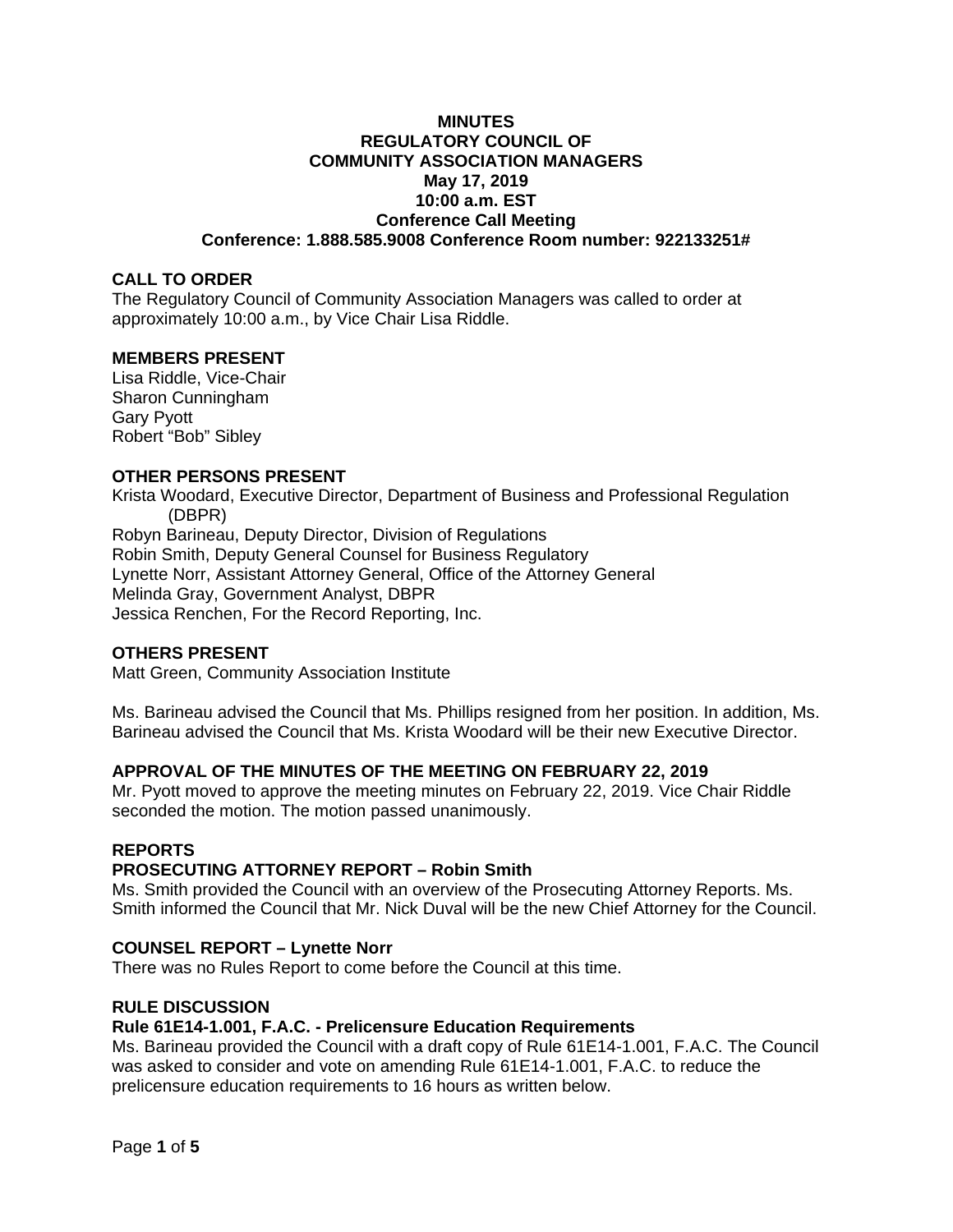### **MINUTES REGULATORY COUNCIL OF COMMUNITY ASSOCIATION MANAGERS May 17, 2019 10:00 a.m. EST Conference Call Meeting Conference: 1.888.585.9008 Conference Room number: 922133251#**

### **CALL TO ORDER**

The Regulatory Council of Community Association Managers was called to order at approximately 10:00 a.m., by Vice Chair Lisa Riddle.

### **MEMBERS PRESENT**

Lisa Riddle, Vice-Chair Sharon Cunningham Gary Pyott Robert "Bob" Sibley

### **OTHER PERSONS PRESENT**

Krista Woodard, Executive Director, Department of Business and Professional Regulation (DBPR) Robyn Barineau, Deputy Director, Division of Regulations Robin Smith, Deputy General Counsel for Business Regulatory Lynette Norr, Assistant Attorney General, Office of the Attorney General Melinda Gray, Government Analyst, DBPR Jessica Renchen, For the Record Reporting, Inc.

### **OTHERS PRESENT**

Matt Green, Community Association Institute

Ms. Barineau advised the Council that Ms. Phillips resigned from her position. In addition, Ms. Barineau advised the Council that Ms. Krista Woodard will be their new Executive Director.

# **APPROVAL OF THE MINUTES OF THE MEETING ON FEBRUARY 22, 2019**

Mr. Pyott moved to approve the meeting minutes on February 22, 2019. Vice Chair Riddle seconded the motion. The motion passed unanimously.

### **REPORTS**

### **PROSECUTING ATTORNEY REPORT – Robin Smith**

Ms. Smith provided the Council with an overview of the Prosecuting Attorney Reports. Ms. Smith informed the Council that Mr. Nick Duval will be the new Chief Attorney for the Council.

### **COUNSEL REPORT – Lynette Norr**

There was no Rules Report to come before the Council at this time.

### **RULE DISCUSSION**

### **Rule 61E14-1.001, F.A.C. - Prelicensure Education Requirements**

Ms. Barineau provided the Council with a draft copy of Rule 61E14-1.001, F.A.C. The Council was asked to consider and vote on amending Rule 61E14-1.001, F.A.C. to reduce the prelicensure education requirements to 16 hours as written below.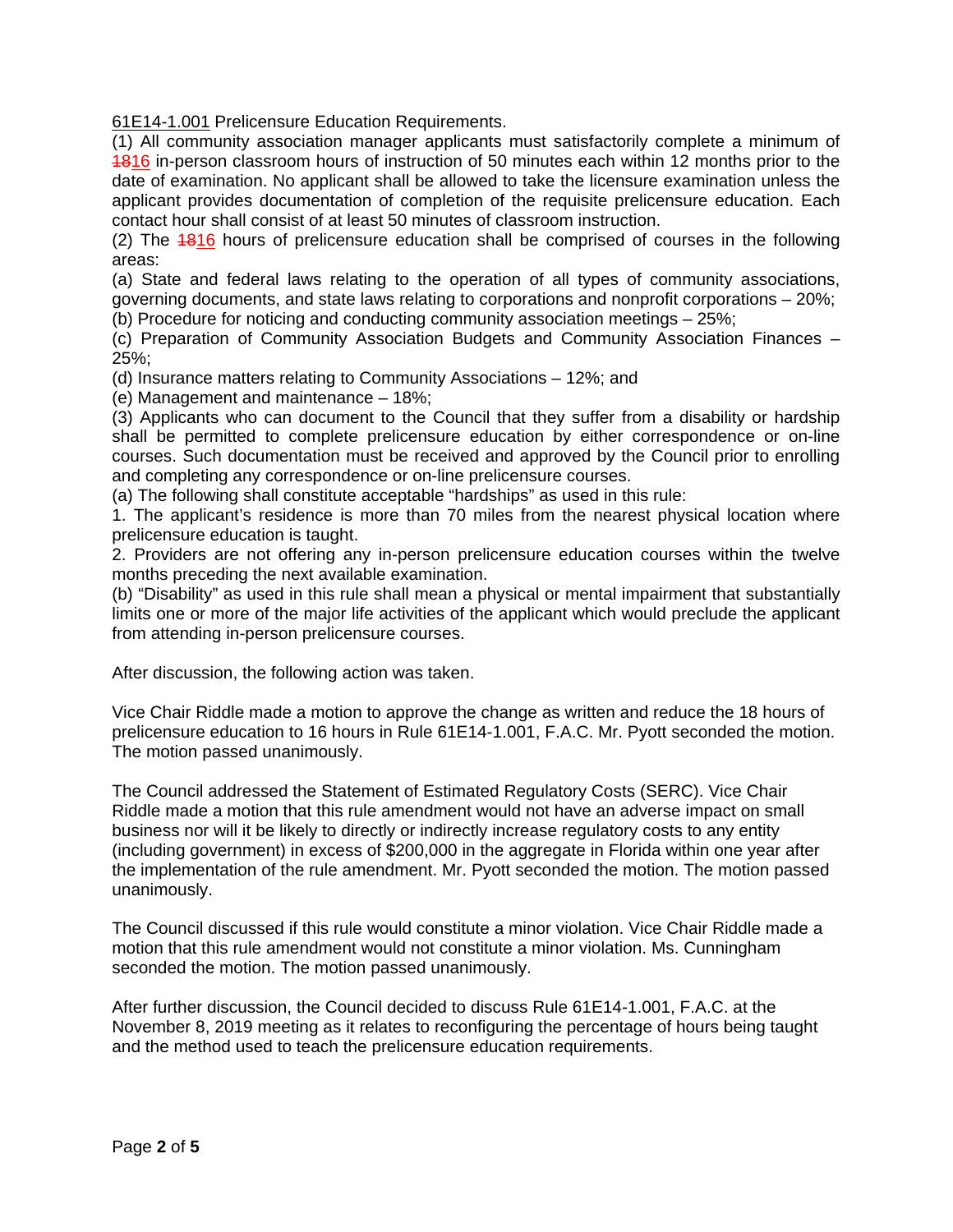[61E14-1.001](https://www.flrules.org/gateway/ruleNo.asp?id=61E14-1.001) Prelicensure Education Requirements.

(1) All community association manager applicants must satisfactorily complete a minimum of 1816 in-person classroom hours of instruction of 50 minutes each within 12 months prior to the date of examination. No applicant shall be allowed to take the licensure examination unless the applicant provides documentation of completion of the requisite prelicensure education. Each contact hour shall consist of at least 50 minutes of classroom instruction.

(2) The 1816 hours of prelicensure education shall be comprised of courses in the following areas:

(a) State and federal laws relating to the operation of all types of community associations, governing documents, and state laws relating to corporations and nonprofit corporations – 20%;

(b) Procedure for noticing and conducting community association meetings – 25%;

(c) Preparation of Community Association Budgets and Community Association Finances – 25%;

(d) Insurance matters relating to Community Associations – 12%; and

(e) Management and maintenance – 18%;

(3) Applicants who can document to the Council that they suffer from a disability or hardship shall be permitted to complete prelicensure education by either correspondence or on-line courses. Such documentation must be received and approved by the Council prior to enrolling and completing any correspondence or on-line prelicensure courses.

(a) The following shall constitute acceptable "hardships" as used in this rule:

1. The applicant's residence is more than 70 miles from the nearest physical location where prelicensure education is taught.

2. Providers are not offering any in-person prelicensure education courses within the twelve months preceding the next available examination.

(b) "Disability" as used in this rule shall mean a physical or mental impairment that substantially limits one or more of the major life activities of the applicant which would preclude the applicant from attending in-person prelicensure courses.

After discussion, the following action was taken.

Vice Chair Riddle made a motion to approve the change as written and reduce the 18 hours of prelicensure education to 16 hours in Rule 61E14-1.001, F.A.C. Mr. Pyott seconded the motion. The motion passed unanimously.

The Council addressed the Statement of Estimated Regulatory Costs (SERC). Vice Chair Riddle made a motion that this rule amendment would not have an adverse impact on small business nor will it be likely to directly or indirectly increase regulatory costs to any entity (including government) in excess of \$200,000 in the aggregate in Florida within one year after the implementation of the rule amendment. Mr. Pyott seconded the motion. The motion passed unanimously.

The Council discussed if this rule would constitute a minor violation. Vice Chair Riddle made a motion that this rule amendment would not constitute a minor violation. Ms. Cunningham seconded the motion. The motion passed unanimously.

After further discussion, the Council decided to discuss Rule 61E14-1.001, F.A.C. at the November 8, 2019 meeting as it relates to reconfiguring the percentage of hours being taught and the method used to teach the prelicensure education requirements.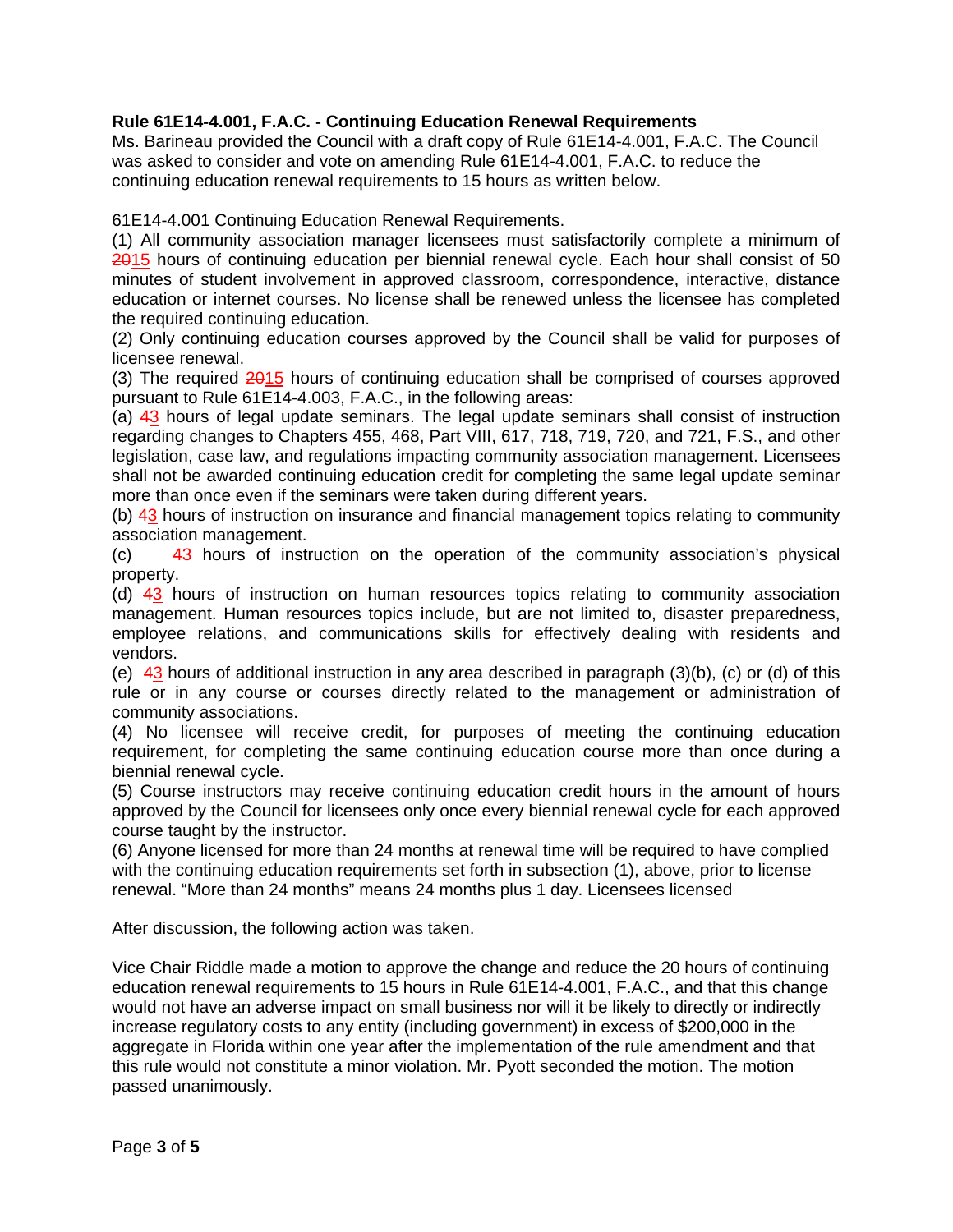# **Rule 61E14-4.001, F.A.C. - Continuing Education Renewal Requirements**

Ms. Barineau provided the Council with a draft copy of Rule 61E14-4.001, F.A.C. The Council was asked to consider and vote on amending Rule 61E14-4.001, F.A.C. to reduce the continuing education renewal requirements to 15 hours as written below.

61E14-4.001 Continuing Education Renewal Requirements.

(1) All community association manager licensees must satisfactorily complete a minimum of 2015 hours of continuing education per biennial renewal cycle. Each hour shall consist of 50 minutes of student involvement in approved classroom, correspondence, interactive, distance education or internet courses. No license shall be renewed unless the licensee has completed the required continuing education.

(2) Only continuing education courses approved by the Council shall be valid for purposes of licensee renewal.

(3) The required 2015 hours of continuing education shall be comprised of courses approved pursuant to Rule 61E14-4.003, F.A.C., in the following areas:

(a) 43 hours of legal update seminars. The legal update seminars shall consist of instruction regarding changes to Chapters 455, 468, Part VIII, 617, 718, 719, 720, and 721, F.S., and other legislation, case law, and regulations impacting community association management. Licensees shall not be awarded continuing education credit for completing the same legal update seminar more than once even if the seminars were taken during different years.

(b) 43 hours of instruction on insurance and financial management topics relating to community association management.

 $(c)$  43 hours of instruction on the operation of the community association's physical property.

(d) 43 hours of instruction on human resources topics relating to community association management. Human resources topics include, but are not limited to, disaster preparedness, employee relations, and communications skills for effectively dealing with residents and vendors.

(e) 43 hours of additional instruction in any area described in paragraph  $(3)(b)$ , (c) or (d) of this rule or in any course or courses directly related to the management or administration of community associations.

(4) No licensee will receive credit, for purposes of meeting the continuing education requirement, for completing the same continuing education course more than once during a biennial renewal cycle.

(5) Course instructors may receive continuing education credit hours in the amount of hours approved by the Council for licensees only once every biennial renewal cycle for each approved course taught by the instructor.

(6) Anyone licensed for more than 24 months at renewal time will be required to have complied with the continuing education requirements set forth in subsection (1), above, prior to license renewal. "More than 24 months" means 24 months plus 1 day. Licensees licensed

After discussion, the following action was taken.

Vice Chair Riddle made a motion to approve the change and reduce the 20 hours of continuing education renewal requirements to 15 hours in Rule 61E14-4.001, F.A.C., and that this change would not have an adverse impact on small business nor will it be likely to directly or indirectly increase regulatory costs to any entity (including government) in excess of \$200,000 in the aggregate in Florida within one year after the implementation of the rule amendment and that this rule would not constitute a minor violation. Mr. Pyott seconded the motion. The motion passed unanimously.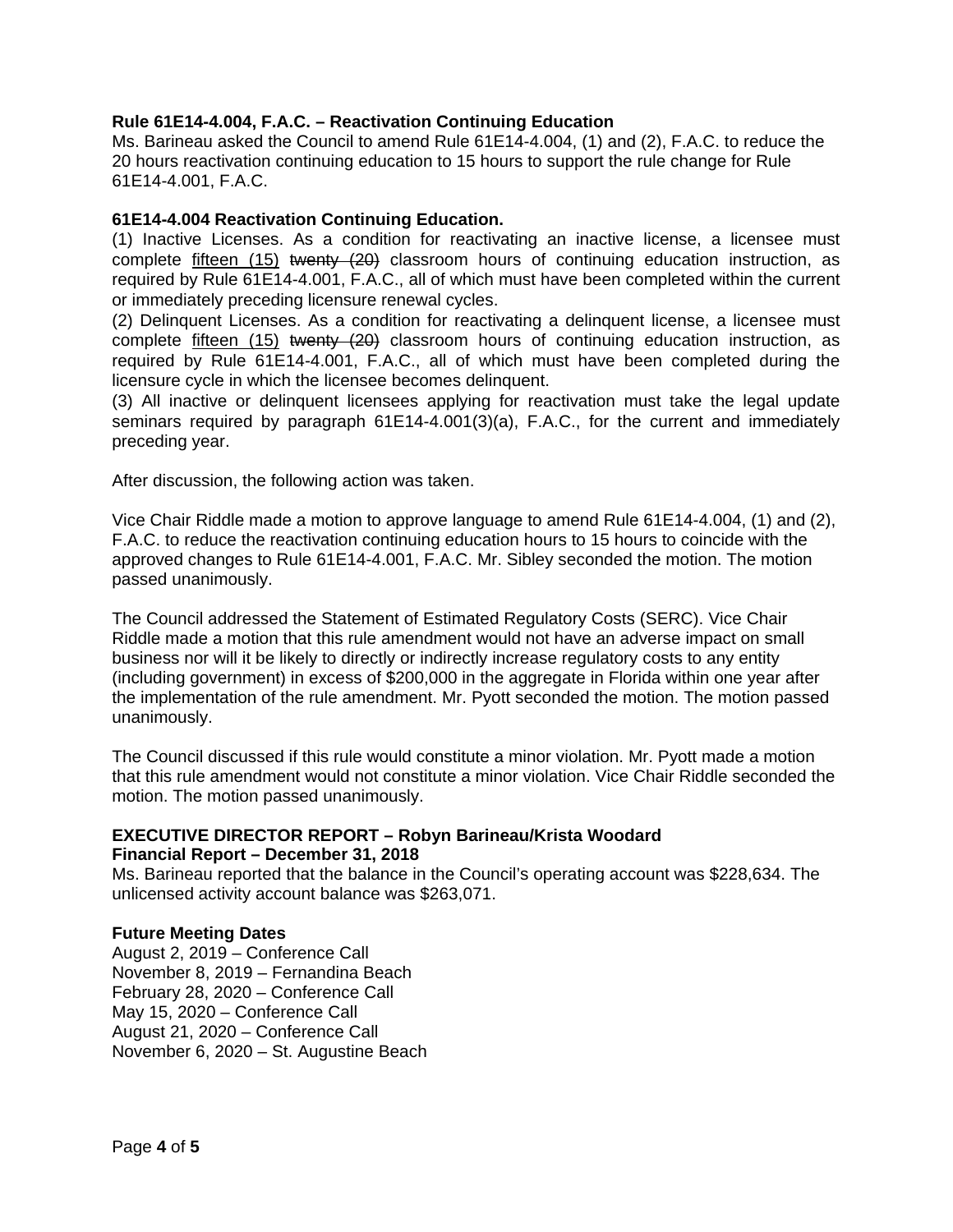# **Rule 61E14-4.004, F.A.C. – Reactivation Continuing Education**

Ms. Barineau asked the Council to amend Rule 61E14-4.004, (1) and (2), F.A.C. to reduce the 20 hours reactivation continuing education to 15 hours to support the rule change for Rule 61E14-4.001, F.A.C.

### **61E14-4.004 Reactivation Continuing Education.**

(1) Inactive Licenses. As a condition for reactivating an inactive license, a licensee must complete fifteen (15) twenty  $(20)$  classroom hours of continuing education instruction, as required by Rule 61E14-4.001, F.A.C., all of which must have been completed within the current or immediately preceding licensure renewal cycles.

(2) Delinquent Licenses. As a condition for reactivating a delinquent license, a licensee must complete fifteen (15) twenty (20) classroom hours of continuing education instruction, as required by Rule 61E14-4.001, F.A.C., all of which must have been completed during the licensure cycle in which the licensee becomes delinquent.

(3) All inactive or delinquent licensees applying for reactivation must take the legal update seminars required by paragraph 61E14-4.001(3)(a), F.A.C., for the current and immediately preceding year.

After discussion, the following action was taken.

Vice Chair Riddle made a motion to approve language to amend Rule 61E14-4.004, (1) and (2), F.A.C. to reduce the reactivation continuing education hours to 15 hours to coincide with the approved changes to Rule 61E14-4.001, F.A.C. Mr. Sibley seconded the motion. The motion passed unanimously.

The Council addressed the Statement of Estimated Regulatory Costs (SERC). Vice Chair Riddle made a motion that this rule amendment would not have an adverse impact on small business nor will it be likely to directly or indirectly increase regulatory costs to any entity (including government) in excess of \$200,000 in the aggregate in Florida within one year after the implementation of the rule amendment. Mr. Pyott seconded the motion. The motion passed unanimously.

The Council discussed if this rule would constitute a minor violation. Mr. Pyott made a motion that this rule amendment would not constitute a minor violation. Vice Chair Riddle seconded the motion. The motion passed unanimously.

# **EXECUTIVE DIRECTOR REPORT – Robyn Barineau/Krista Woodard Financial Report – December 31, 2018**

Ms. Barineau reported that the balance in the Council's operating account was \$228,634. The unlicensed activity account balance was \$263,071.

### **Future Meeting Dates**

August 2, 2019 – Conference Call November 8, 2019 – Fernandina Beach February 28, 2020 – Conference Call May 15, 2020 – Conference Call August 21, 2020 – Conference Call November 6, 2020 – St. Augustine Beach